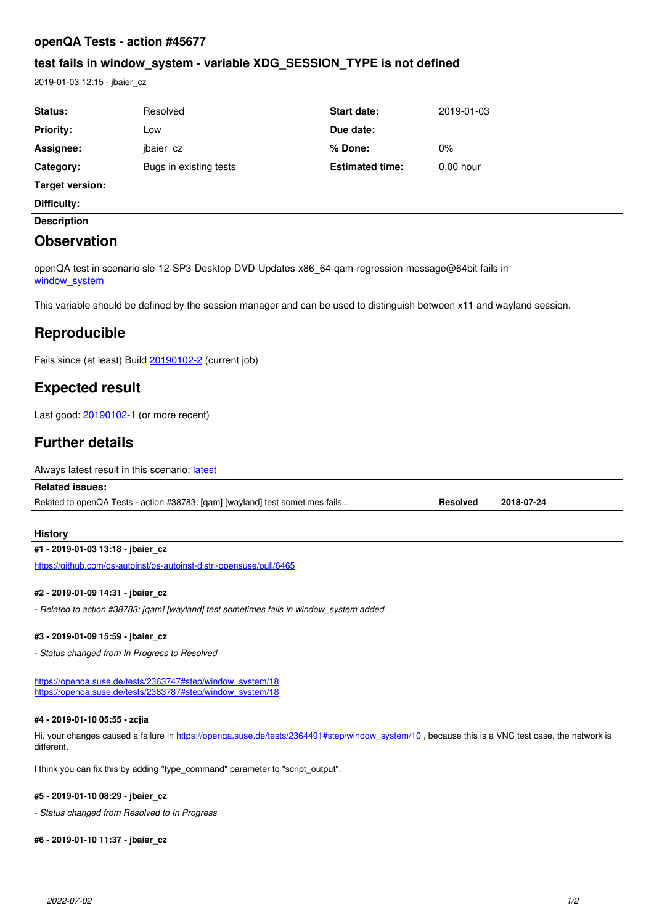## **openQA Tests - action #45677**

# **test fails in window\_system - variable XDG\_SESSION\_TYPE is not defined**

2019-01-03 12:15 - jbaier\_cz

| Status:                                                                                                                | Resolved                                                                      | Start date:            | 2019-01-03                    |
|------------------------------------------------------------------------------------------------------------------------|-------------------------------------------------------------------------------|------------------------|-------------------------------|
| <b>Priority:</b>                                                                                                       | Low                                                                           | Due date:              |                               |
|                                                                                                                        |                                                                               |                        |                               |
| Assignee:                                                                                                              | jbaier_cz                                                                     | % Done:                | 0%                            |
| Category:                                                                                                              | Bugs in existing tests                                                        | <b>Estimated time:</b> | $0.00$ hour                   |
| <b>Target version:</b>                                                                                                 |                                                                               |                        |                               |
| <b>Difficulty:</b>                                                                                                     |                                                                               |                        |                               |
| <b>Description</b>                                                                                                     |                                                                               |                        |                               |
| <b>Observation</b>                                                                                                     |                                                                               |                        |                               |
| openQA test in scenario sle-12-SP3-Desktop-DVD-Updates-x86 64-qam-regression-message@64bit fails in<br>window_system   |                                                                               |                        |                               |
| This variable should be defined by the session manager and can be used to distinguish between x11 and wayland session. |                                                                               |                        |                               |
| Reproducible                                                                                                           |                                                                               |                        |                               |
| Fails since (at least) Build 20190102-2 (current job)                                                                  |                                                                               |                        |                               |
| <b>Expected result</b>                                                                                                 |                                                                               |                        |                               |
| Last good: 20190102-1 (or more recent)                                                                                 |                                                                               |                        |                               |
| <b>Further details</b>                                                                                                 |                                                                               |                        |                               |
| Always latest result in this scenario: latest                                                                          |                                                                               |                        |                               |
| <b>Related issues:</b>                                                                                                 |                                                                               |                        |                               |
|                                                                                                                        | Related to openQA Tests - action #38783: [qam] [wayland] test sometimes fails |                        | <b>Resolved</b><br>2018-07-24 |

## **History**

## **#1 - 2019-01-03 13:18 - jbaier\_cz**

<https://github.com/os-autoinst/os-autoinst-distri-opensuse/pull/6465>

## **#2 - 2019-01-09 14:31 - jbaier\_cz**

*- Related to action #38783: [qam] [wayland] test sometimes fails in window\_system added*

#### **#3 - 2019-01-09 15:59 - jbaier\_cz**

*- Status changed from In Progress to Resolved*

[https://openqa.suse.de/tests/2363747#step/window\\_system/18](https://openqa.suse.de/tests/2363747#step/window_system/18) [https://openqa.suse.de/tests/2363787#step/window\\_system/18](https://openqa.suse.de/tests/2363787#step/window_system/18)

### **#4 - 2019-01-10 05:55 - zcjia**

Hi, your changes caused a failure in https://openga.suse.de/tests/2364491#step/window\_system/10, because this is a VNC test case, the network is different.

I think you can fix this by adding "type\_command" parameter to "script\_output".

#### **#5 - 2019-01-10 08:29 - jbaier\_cz**

*- Status changed from Resolved to In Progress*

#### **#6 - 2019-01-10 11:37 - jbaier\_cz**